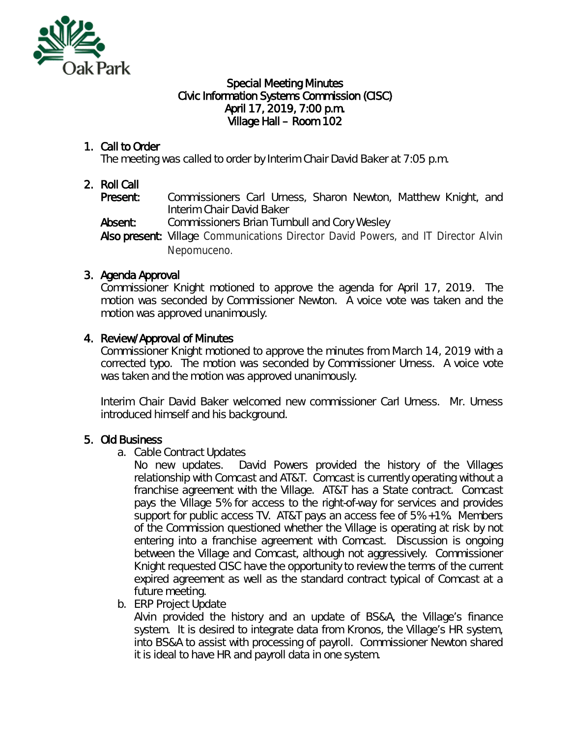

#### Special Meeting Minutes Civic Information Systems Commission (CISC) April 17, 2019, 7:00 p.m. Village Hall – Room 102

# 1. Call to Order

The meeting was called to order by Interim Chair David Baker at 7:05 p.m.

### 2. Roll Call

Present: Commissioners Carl Urness, Sharon Newton, Matthew Knight, and Interim Chair David Baker

Absent: Commissioners Brian Turnbull and Cory Wesley

Also present: Village Communications Director David Powers, and IT Director Alvin Nepomuceno.

# 3. Agenda Approval

Commissioner Knight motioned to approve the agenda for April 17, 2019. The motion was seconded by Commissioner Newton. A voice vote was taken and the motion was approved unanimously.

### 4. Review/Approval of Minutes

Commissioner Knight motioned to approve the minutes from March 14, 2019 with a corrected typo. The motion was seconded by Commissioner Urness. A voice vote was taken and the motion was approved unanimously.

Interim Chair David Baker welcomed new commissioner Carl Urness. Mr. Urness introduced himself and his background.

# 5. Old Business

a. Cable Contract Updates

No new updates. David Powers provided the history of the Villages relationship with Comcast and AT&T. Comcast is currently operating without a franchise agreement with the Village. AT&T has a State contract. Comcast pays the Village 5% for access to the right-of-way for services and provides support for public access TV. AT&T pays an access fee of 5% +1%. Members of the Commission questioned whether the Village is operating at risk by not entering into a franchise agreement with Comcast. Discussion is ongoing between the Village and Comcast, although not aggressively. Commissioner Knight requested CISC have the opportunity to review the terms of the current expired agreement as well as the standard contract typical of Comcast at a future meeting.

b. ERP Project Update

Alvin provided the history and an update of BS&A, the Village's finance system. It is desired to integrate data from Kronos, the Village's HR system, into BS&A to assist with processing of payroll. Commissioner Newton shared it is ideal to have HR and payroll data in one system.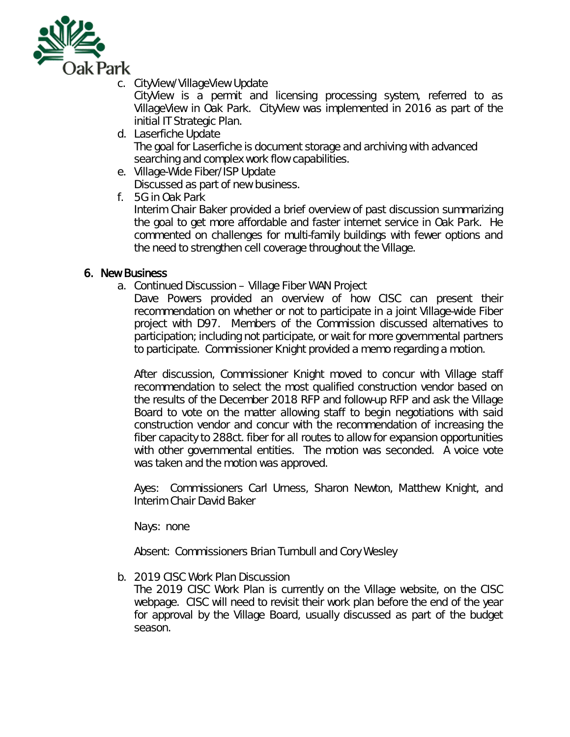

c. CityView/VillageView Update

CityView is a permit and licensing processing system, referred to as VillageView in Oak Park. CityView was implemented in 2016 as part of the initial IT Strategic Plan.

- d. Laserfiche Update The goal for Laserfiche is document storage and archiving with advanced searching and complex work flow capabilities.
- e. Village-Wide Fiber/ISP Update

Discussed as part of new business.

f. 5G in Oak Park

Interim Chair Baker provided a brief overview of past discussion summarizing the goal to get more affordable and faster internet service in Oak Park. He commented on challenges for multi-family buildings with fewer options and the need to strengthen cell coverage throughout the Village.

### 6. New Business

a. Continued Discussion – Village Fiber WAN Project

Dave Powers provided an overview of how CISC can present their recommendation on whether or not to participate in a joint Village-wide Fiber project with D97. Members of the Commission discussed alternatives to participation; including not participate, or wait for more governmental partners to participate. Commissioner Knight provided a memo regarding a motion.

After discussion, Commissioner Knight moved to concur with Village staff recommendation to select the most qualified construction vendor based on the results of the December 2018 RFP and follow-up RFP and ask the Village Board to vote on the matter allowing staff to begin negotiations with said construction vendor and concur with the recommendation of increasing the fiber capacity to 288ct. fiber for all routes to allow for expansion opportunities with other governmental entities. The motion was seconded. A voice vote was taken and the motion was approved.

Ayes: Commissioners Carl Urness, Sharon Newton, Matthew Knight, and Interim Chair David Baker

Nays: none

Absent: Commissioners Brian Turnbull and Cory Wesley

b. 2019 CISC Work Plan Discussion

The 2019 CISC Work Plan is currently on the Village website, on the CISC webpage. CISC will need to revisit their work plan before the end of the year for approval by the Village Board, usually discussed as part of the budget season.